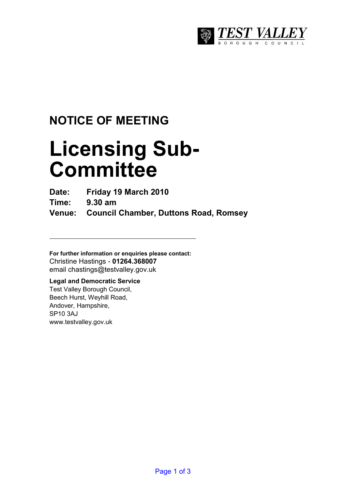

## **NOTICE OF MEETING**

# **Licensing Sub-Committee**

**Date: Friday 19 March 2010** 

**Time: 9.30 am** 

**Venue: Council Chamber, Duttons Road, Romsey** 

**For further information or enquiries please contact:**  Christine Hastings - **01264.368007** email chastings@testvalley.gov.uk

### **Legal and Democratic Service**

Test Valley Borough Council, Beech Hurst, Weyhill Road, Andover, Hampshire, SP10 3AJ www.testvalley.gov.uk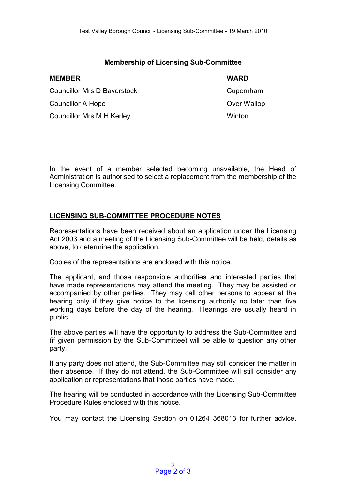#### **Membership of Licensing Sub-Committee**

| <b>MEMBER</b>                    | <b>WARD</b> |
|----------------------------------|-------------|
| Councillor Mrs D Baverstock      | Cupernham   |
| Councillor A Hope                | Over Wallop |
| <b>Councillor Mrs M H Kerley</b> | Winton      |

In the event of a member selected becoming unavailable, the Head of Administration is authorised to select a replacement from the membership of the Licensing Committee.

#### **LICENSING SUB-COMMITTEE PROCEDURE NOTES**

Representations have been received about an application under the Licensing Act 2003 and a meeting of the Licensing Sub-Committee will be held, details as above, to determine the application.

Copies of the representations are enclosed with this notice.

The applicant, and those responsible authorities and interested parties that have made representations may attend the meeting. They may be assisted or accompanied by other parties. They may call other persons to appear at the hearing only if they give notice to the licensing authority no later than five working days before the day of the hearing. Hearings are usually heard in public.

The above parties will have the opportunity to address the Sub-Committee and (if given permission by the Sub-Committee) will be able to question any other party.

If any party does not attend, the Sub-Committee may still consider the matter in their absence. If they do not attend, the Sub-Committee will still consider any application or representations that those parties have made.

The hearing will be conducted in accordance with the Licensing Sub-Committee Procedure Rules enclosed with this notice.

You may contact the Licensing Section on 01264 368013 for further advice.